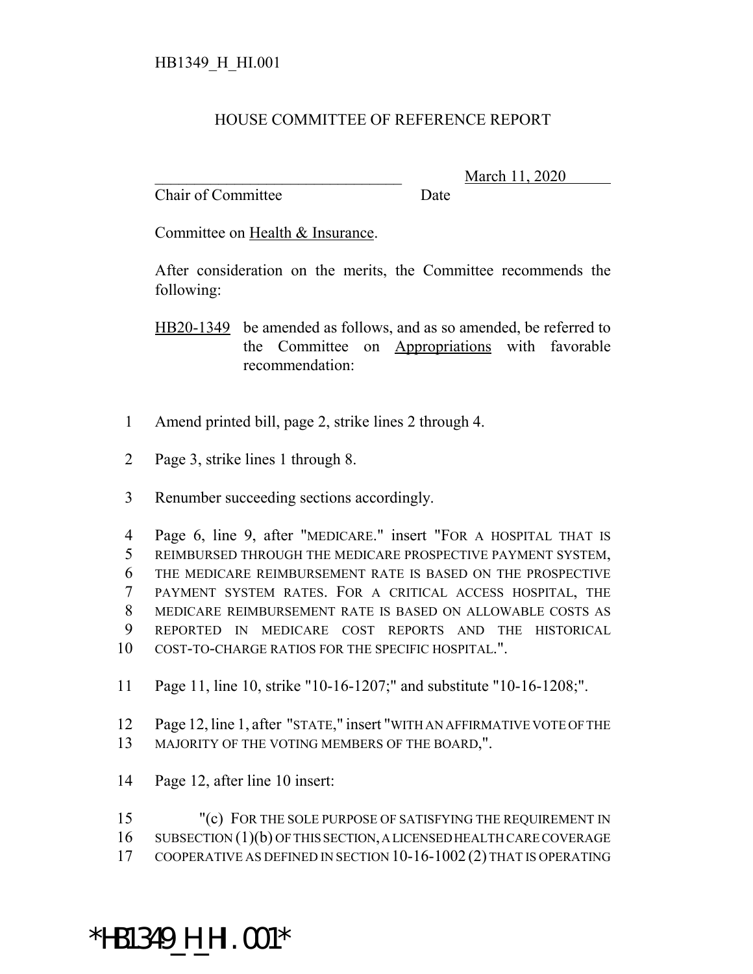## HOUSE COMMITTEE OF REFERENCE REPORT

Chair of Committee Date

\_\_\_\_\_\_\_\_\_\_\_\_\_\_\_\_\_\_\_\_\_\_\_\_\_\_\_\_\_\_\_ March 11, 2020

Committee on Health & Insurance.

After consideration on the merits, the Committee recommends the following:

HB20-1349 be amended as follows, and as so amended, be referred to the Committee on Appropriations with favorable recommendation:

- 1 Amend printed bill, page 2, strike lines 2 through 4.
- 2 Page 3, strike lines 1 through 8.
- 3 Renumber succeeding sections accordingly.

 Page 6, line 9, after "MEDICARE." insert "FOR A HOSPITAL THAT IS REIMBURSED THROUGH THE MEDICARE PROSPECTIVE PAYMENT SYSTEM, THE MEDICARE REIMBURSEMENT RATE IS BASED ON THE PROSPECTIVE PAYMENT SYSTEM RATES. FOR A CRITICAL ACCESS HOSPITAL, THE MEDICARE REIMBURSEMENT RATE IS BASED ON ALLOWABLE COSTS AS REPORTED IN MEDICARE COST REPORTS AND THE HISTORICAL COST-TO-CHARGE RATIOS FOR THE SPECIFIC HOSPITAL.".

- 11 Page 11, line 10, strike "10-16-1207;" and substitute "10-16-1208;".
- 12 Page 12, line 1, after "STATE," insert "WITH AN AFFIRMATIVE VOTE OF THE 13 MAJORITY OF THE VOTING MEMBERS OF THE BOARD,".
- 14 Page 12, after line 10 insert:

15 "(c) FOR THE SOLE PURPOSE OF SATISFYING THE REQUIREMENT IN 16 SUBSECTION (1)(b) OF THIS SECTION, A LICENSED HEALTH CARE COVERAGE 17 COOPERATIVE AS DEFINED IN SECTION 10-16-1002 (2) THAT IS OPERATING

## \*HB1349\_H\_HI.001\*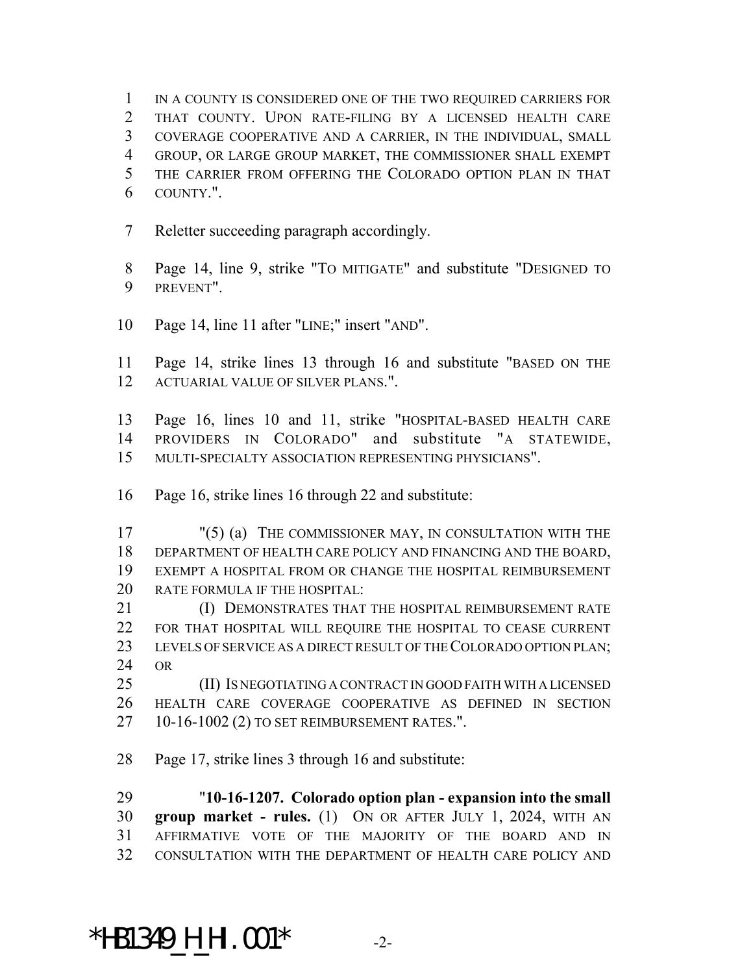IN A COUNTY IS CONSIDERED ONE OF THE TWO REQUIRED CARRIERS FOR THAT COUNTY. UPON RATE-FILING BY A LICENSED HEALTH CARE COVERAGE COOPERATIVE AND A CARRIER, IN THE INDIVIDUAL, SMALL GROUP, OR LARGE GROUP MARKET, THE COMMISSIONER SHALL EXEMPT THE CARRIER FROM OFFERING THE COLORADO OPTION PLAN IN THAT COUNTY.".

Reletter succeeding paragraph accordingly.

 Page 14, line 9, strike "TO MITIGATE" and substitute "DESIGNED TO PREVENT".

Page 14, line 11 after "LINE;" insert "AND".

 Page 14, strike lines 13 through 16 and substitute "BASED ON THE ACTUARIAL VALUE OF SILVER PLANS.".

 Page 16, lines 10 and 11, strike "HOSPITAL-BASED HEALTH CARE PROVIDERS IN COLORADO" and substitute "A STATEWIDE, MULTI-SPECIALTY ASSOCIATION REPRESENTING PHYSICIANS".

Page 16, strike lines 16 through 22 and substitute:

 "(5) (a) THE COMMISSIONER MAY, IN CONSULTATION WITH THE DEPARTMENT OF HEALTH CARE POLICY AND FINANCING AND THE BOARD, EXEMPT A HOSPITAL FROM OR CHANGE THE HOSPITAL REIMBURSEMENT RATE FORMULA IF THE HOSPITAL:

**(I) DEMONSTRATES THAT THE HOSPITAL REIMBURSEMENT RATE**  FOR THAT HOSPITAL WILL REQUIRE THE HOSPITAL TO CEASE CURRENT LEVELS OF SERVICE AS A DIRECT RESULT OF THE COLORADO OPTION PLAN; OR

 (II) IS NEGOTIATING A CONTRACT IN GOOD FAITH WITH A LICENSED HEALTH CARE COVERAGE COOPERATIVE AS DEFINED IN SECTION 10-16-1002 (2) TO SET REIMBURSEMENT RATES.".

Page 17, strike lines 3 through 16 and substitute:

 "**10-16-1207. Colorado option plan - expansion into the small group market - rules.** (1) ON OR AFTER JULY 1, 2024, WITH AN AFFIRMATIVE VOTE OF THE MAJORITY OF THE BOARD AND IN CONSULTATION WITH THE DEPARTMENT OF HEALTH CARE POLICY AND

## \*HB1349\_H\_HI.001\* -2-